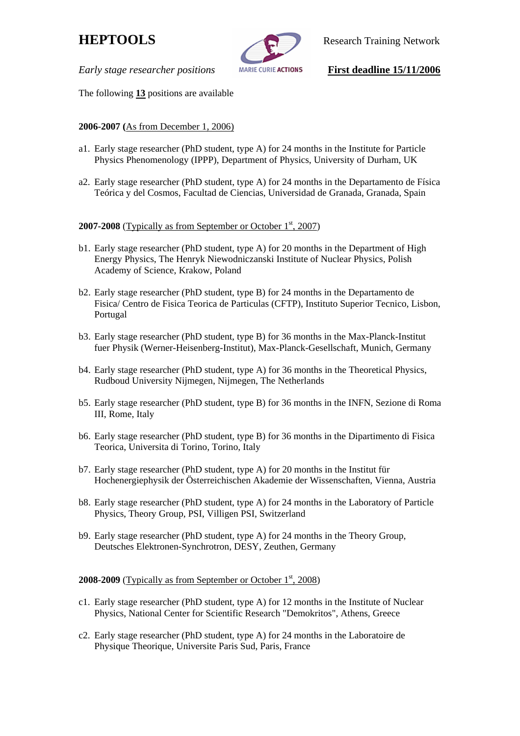

**HEPTOOLS** Research Training Network

*Early stage researcher positions MARIE CURIE ACTIONS* **First deadline 15/11/2006** 

The following **13** positions are available

# **2006-2007 (**As from December 1, 2006)

- a1. Early stage researcher (PhD student, type A) for 24 months in the Institute for Particle Physics Phenomenology (IPPP), Department of Physics, University of Durham, UK
- a2. Early stage researcher (PhD student, type A) for 24 months in the Departamento de Física Teórica y del Cosmos, Facultad de Ciencias, Universidad de Granada, Granada, Spain

### **2007-2008** (Typically as from September or October 1<sup>st</sup>, 2007)

- b1. Early stage researcher (PhD student, type A) for 20 months in the Department of High Energy Physics, The Henryk Niewodniczanski Institute of Nuclear Physics, Polish Academy of Science, Krakow, Poland
- b2. Early stage researcher (PhD student, type B) for 24 months in the Departamento de Fisica/ Centro de Fisica Teorica de Particulas (CFTP), Instituto Superior Tecnico, Lisbon, Portugal
- b3. Early stage researcher (PhD student, type B) for 36 months in the Max-Planck-Institut fuer Physik (Werner-Heisenberg-Institut), Max-Planck-Gesellschaft, Munich, Germany
- b4. Early stage researcher (PhD student, type A) for 36 months in the Theoretical Physics, Rudboud University Nijmegen, Nijmegen, The Netherlands
- b5. Early stage researcher (PhD student, type B) for 36 months in the INFN, Sezione di Roma III, Rome, Italy
- b6. Early stage researcher (PhD student, type B) for 36 months in the Dipartimento di Fisica Teorica, Universita di Torino, Torino, Italy
- b7. Early stage researcher (PhD student, type A) for 20 months in the Institut für Hochenergiephysik der Österreichischen Akademie der Wissenschaften, Vienna, Austria
- b8. Early stage researcher (PhD student, type A) for 24 months in the Laboratory of Particle Physics, Theory Group, PSI, Villigen PSI, Switzerland
- b9. Early stage researcher (PhD student, type A) for 24 months in the Theory Group, Deutsches Elektronen-Synchrotron, DESY, Zeuthen, Germany

### **2008-2009** (Typically as from September or October 1st, 2008)

- c1. Early stage researcher (PhD student, type A) for 12 months in the Institute of Nuclear Physics, National Center for Scientific Research "Demokritos", Athens, Greece
- c2. Early stage researcher (PhD student, type A) for 24 months in the Laboratoire de Physique Theorique, Universite Paris Sud, Paris, France